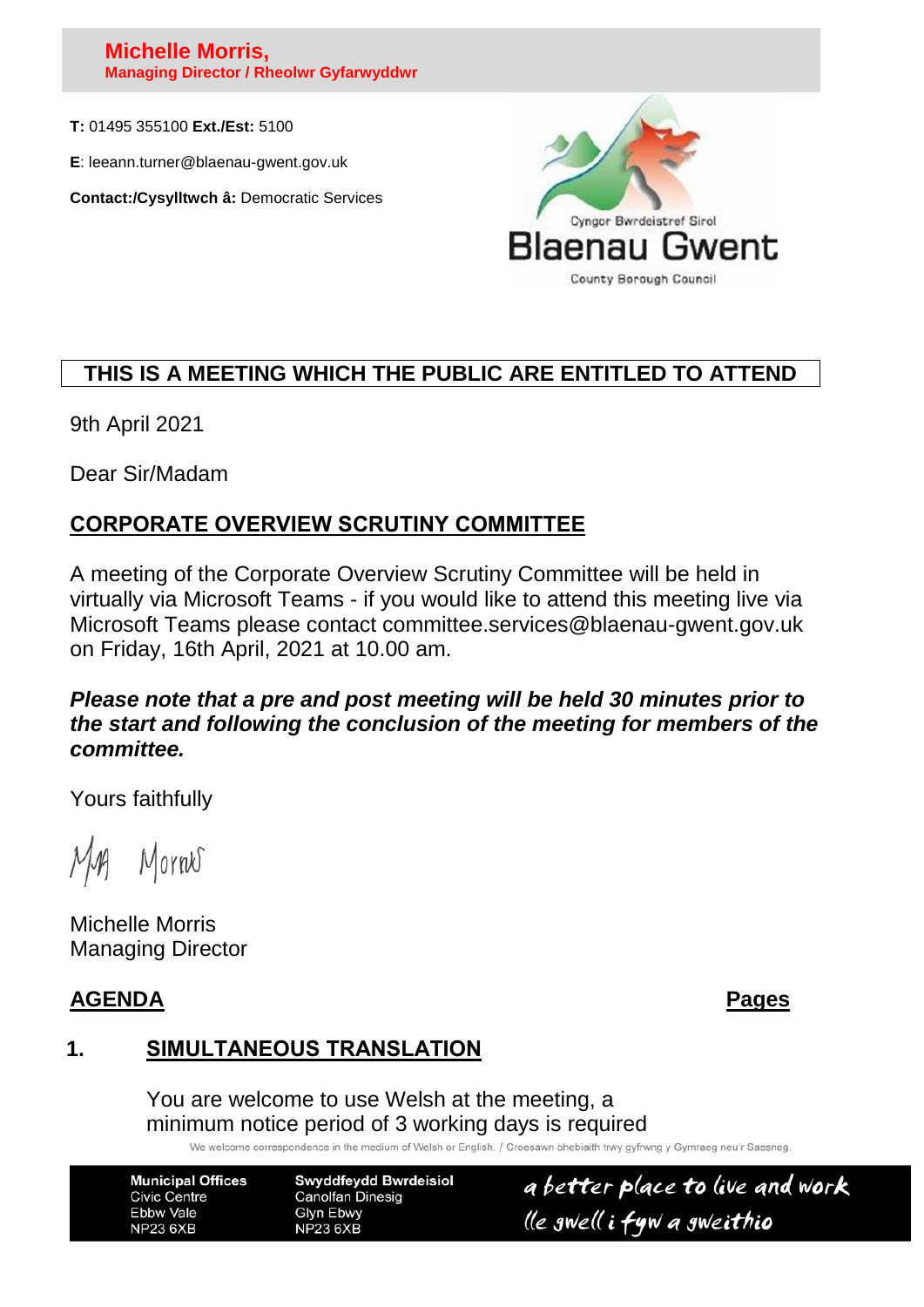#### **Michelle Morris, Managing Director / Rheolwr Gyfarwyddwr**

**T:** 01495 355100 **Ext./Est:** 5100

**E**: leeann.turner@blaenau-gwent.gov.uk

**Contact:/Cysylltwch â:** Democratic Services



# **THIS IS A MEETING WHICH THE PUBLIC ARE ENTITLED TO ATTEND**

9th April 2021

Dear Sir/Madam

# **CORPORATE OVERVIEW SCRUTINY COMMITTEE**

A meeting of the Corporate Overview Scrutiny Committee will be held in virtually via Microsoft Teams - if you would like to attend this meeting live via Microsoft Teams please contact committee.services@blaenau-gwent.gov.uk on Friday, 16th April, 2021 at 10.00 am.

#### *Please note that a pre and post meeting will be held 30 minutes prior to the start and following the conclusion of the meeting for members of the committee.*

Yours faithfully

Mornes

Michelle Morris Managing Director

#### **AGENDA Pages**

# **1. SIMULTANEOUS TRANSLATION**

You are welcome to use Welsh at the meeting, a minimum notice period of 3 working days is required

We welcome correspondence in the medium of Welsh or English. / Croesawn ohebiaith trwy gyfrwng y Gymraeg neu'r Saesneg

**Municipal Offices Civic Centre** Ebbw Vale **NP23 6XB** 

**Swyddfeydd Bwrdeisiol Canolfan Dinesig Glyn Ebwy NP23 6XB** 

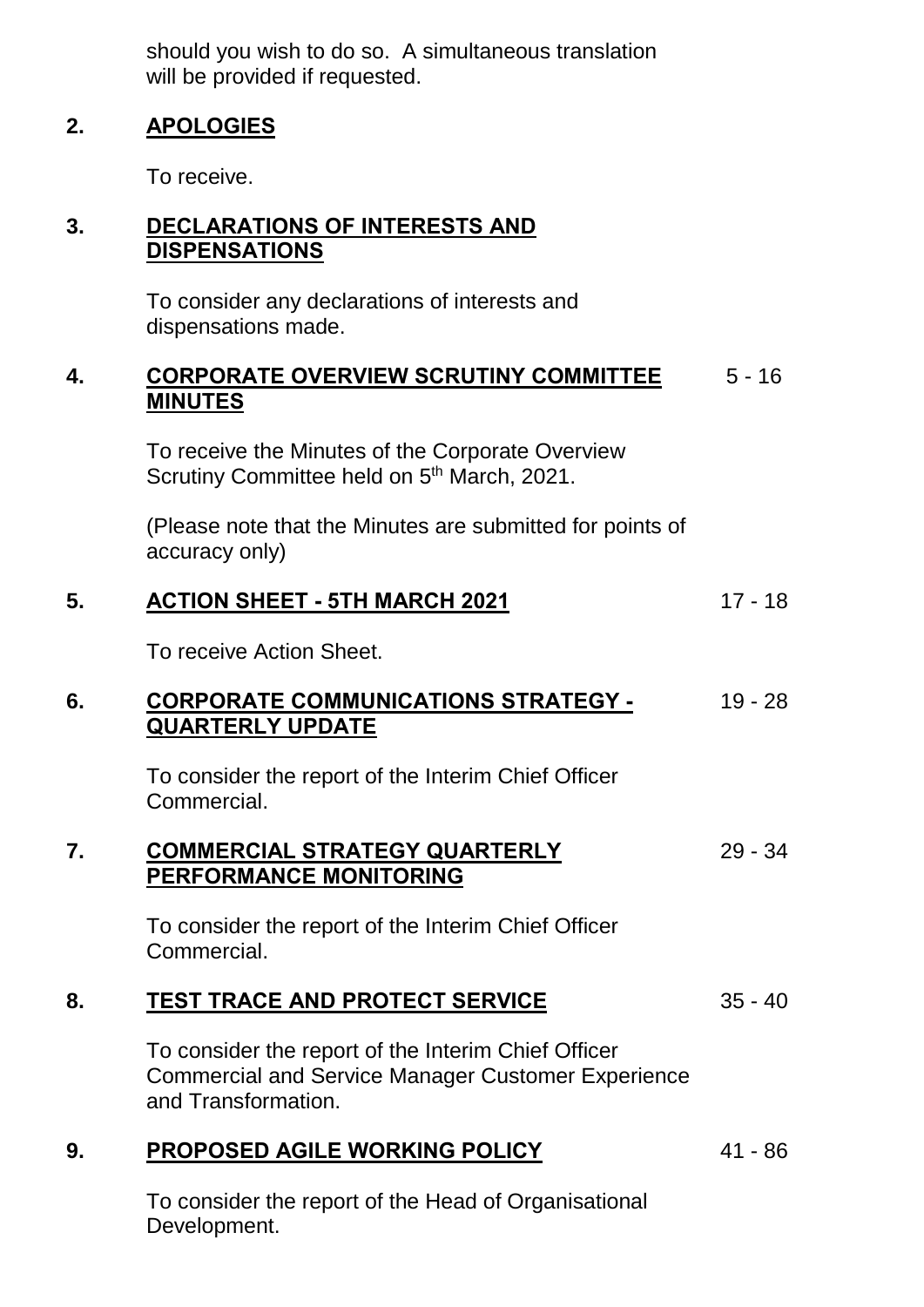should you wish to do so. A simultaneous translation will be provided if requested.

### **2. APOLOGIES**

To receive.

### **3. DECLARATIONS OF INTERESTS AND DISPENSATIONS**

To consider any declarations of interests and dispensations made.

#### **4. CORPORATE OVERVIEW SCRUTINY COMMITTEE** 5 - 16 **MINUTES**

To receive the Minutes of the Corporate Overview Scrutiny Committee held on 5<sup>th</sup> March, 2021.

(Please note that the Minutes are submitted for points of accuracy only)

## **5. ACTION SHEET - 5TH MARCH 2021** 17 - 18

To receive Action Sheet.

#### **6. CORPORATE COMMUNICATIONS STRATEGY - QUARTERLY UPDATE** 19 - 28

To consider the report of the Interim Chief Officer Commercial.

#### **7. COMMERCIAL STRATEGY QUARTERLY PERFORMANCE MONITORING** 29 - 34

To consider the report of the Interim Chief Officer Commercial.

#### **8. TEST TRACE AND PROTECT SERVICE** 35 - 40

To consider the report of the Interim Chief Officer Commercial and Service Manager Customer Experience and Transformation.

## **9. PROPOSED AGILE WORKING POLICY** 41 - 86

To consider the report of the Head of Organisational Development.